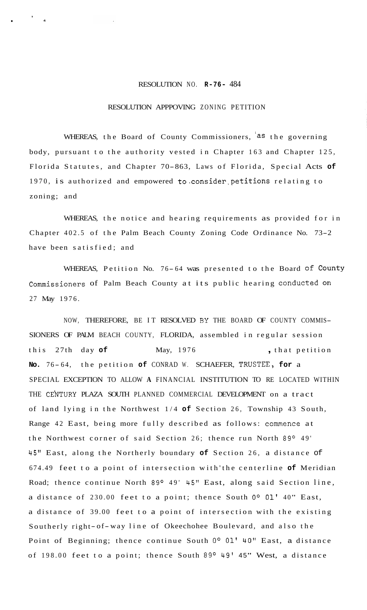## RESOLUTION NO. **R-76-** 484

,

**4** 

## RESOLUTION APPPOVING ZONING PETITION

WHEREAS, the Board of County Commissioners, as the governing body, pursuant to the authority vested in Chapter 163 and Chapter 125, Florida Statutes, and Chapter 70-863, Laws of Florida, Special Acts **of**  1970, is authorized and empowered to.consider,petitions relating to zoning; and

WHEREAS, the notice and hearing requirements as provided for in Chapter 402.5 of the Palm Beach County Zoning Code Ordinance No. 73-2 have been satisfied; and

WHEREAS, Petition No. 76-64 was presented to the Board of County Commissioners of Palm Beach County at its public hearing conducted on 27 May 1976.

NOW, THEREFORE, BE IT RESOLVED **BY** THE BOARD OF COUNTY COMMIS-SIONERS OF PALM BEACH COUNTY, FLORIDA, assembled in regular session this 27th day of May, 1976 , that petition **No.** 7 6 - 64, the petition **of** CONRAD W. SCHAEFER, T.RUSTEE, **for** a SPECIAL EXCEPTION TO ALLOW **A** FINANCIAL INSTITUTION TO RE LOCATED WITHIN THE CE'NTURY PLAZA SOUTH PLANNED COMMERCIAL DEVELOPMENT on a tract of land lying in the Northwest 1/4 **of** Section 26, Township 43 South, Range 42 East, being more fully described as follows: commence at the Northwest corner of said Section 26; thence run North 89° 49' 45" East, along the Northerly boundary **of** Section 26, a distance of 674.49 feet to a point of intersection with'the centerline **of** Meridian Road; thence continue North 89° 49' 45" East, along said Section line, a distance of 230.00 feet to a point; thence South 0° 01' 40" East, a distance of 39.00 feet to a point of intersection with the existing Southerly right- of-way line of Okeechohee Boulevard, and also the Point of Beginning; thence continue South **Oo 01'** 40" East, a distance of 198.00 feet to a point; thence South 89° 49' 45" West, a distance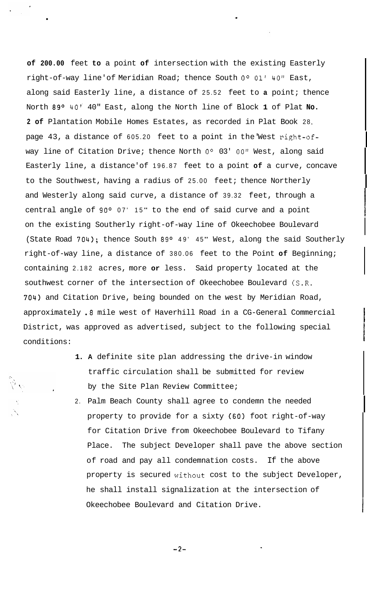**of 200.00** feet **to** a point **of** intersection with the existing Easterly right-of-way line'of Meridian Road; thence South **Oo 01'** 40" East, along said Easterly line, a distance of 25.52 feet to **a** point; thence North 89° 40' 40" East, along the North line of Block 1 of Plat No. **2 of** Plantation Mobile Homes Estates, as recorded in Plat Book 28, page 43, a distance of 605.20 feet to a point in the West right-ofway line of Citation Drive; thence North 0° 03' 00" West, along said Easterly line, a distance' of 196.87 feet to a point **of** a curve, concave to the Southwest, having a radius of 25.00 feet; thence Northerly and Westerly along said curve, a distance of 39.32 feet, through a central angle of 90° 07' 15 " to the end of said curve and a point on the existing Southerly right-of-way line of Okeechobee Boulevard (State Road 704); thence South 89° 49' 45" West, along the said Southerly right-of-way line, a distance of 380.06 feet to the Point **of** Beginning; containing 2.182 acres, more **or** less. Said property located at the southwest corner of the intersection of Okeechobee Boulevard (S.R. 704) and Citation Drive, being bounded on the west by Meridian Road, approximately .8 mile west of Haverhill Road in a CG-General Commercial District, was approved as advertised, subject to the following special conditions:

I

I

. The contract of the contract of the contract of the contract of the contract of the contract of the contract of the contract of the contract of the contract of the contract of the contract of the contract of the contrac

- **1. A** definite site plan addressing the drive-in window traffic circulation shall be submitted for review by the Site Plan Review Committee;
- 2. Palm Beach County shall agree to condemn the needed property to provide for a sixty (60) foot right-of-way for Citation Drive from Okeechobee Boulevard to Tifany Place. The subject Developer shall pave the above section of road and pay all condemnation costs. If the above property is secured without cost to the subject Developer, he shall install signalization at the intersection of Okeechobee Boulevard and Citation Drive.

**-2-**